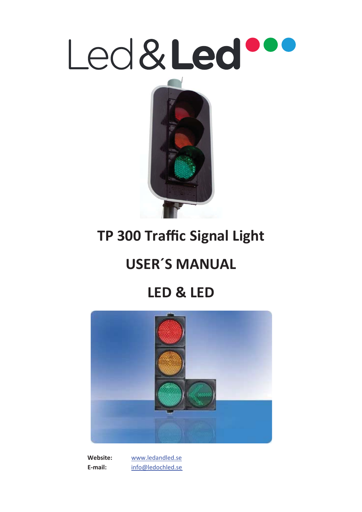



# **TP 300 Traffic Signal Light**

# **USER´S MANUAL**

# **LED & LED**



 **Website:** www.ledandled.se  **E-mail:** info@ledochled.se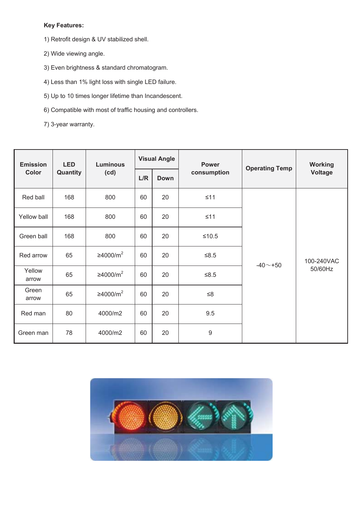### **Key Features:**

- 1) Retrofit design & UV stabilized shell.
- 2) Wide viewing angle.
- 3) Even brightness & standard chromatogram.
- 4) Less than 1% light loss with single LED failure.
- 5) Up to 10 times longer lifetime than Incandescent.
- 6) Compatible with most of traffic housing and controllers.
- 7) 3-year warranty.

| <b>Emission</b><br>Color | <b>LED</b><br>Quantity | <b>Luminous</b><br>(cd) | <b>Visual Angle</b> |             | <b>Power</b>     | <b>Operating Temp</b> | <b>Working</b>        |
|--------------------------|------------------------|-------------------------|---------------------|-------------|------------------|-----------------------|-----------------------|
|                          |                        |                         | L/R                 | <b>Down</b> | consumption      |                       | <b>Voltage</b>        |
| Red ball                 | 168                    | 800                     | 60                  | 20          | $\leq 11$        | $-40 - +50$           | 100-240VAC<br>50/60Hz |
| Yellow ball              | 168                    | 800                     | 60                  | 20          | $\leq 11$        |                       |                       |
| Green ball               | 168                    | 800                     | 60                  | 20          | $≤10.5$          |                       |                       |
| Red arrow                | 65                     | ≥4000/m <sup>2</sup>    | 60                  | 20          | $≤8.5$           |                       |                       |
| Yellow<br>arrow          | 65                     | ≥4000/m <sup>2</sup>    | 60                  | 20          | $≤8.5$           |                       |                       |
| Green<br>arrow           | 65                     | ≥4000/m <sup>2</sup>    | 60                  | 20          | $\leq 8$         |                       |                       |
| Red man                  | 80                     | 4000/m2                 | 60                  | 20          | 9.5              |                       |                       |
| Green man                | 78                     | 4000/m2                 | 60                  | 20          | $\boldsymbol{9}$ |                       |                       |

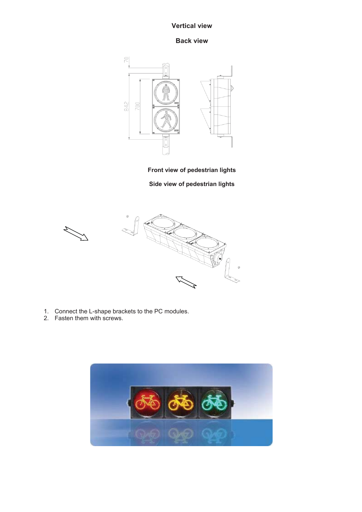#### **Vertical view**

#### **Back view**



**Front view of pedestrian lights** 

**Side view of pedestrian lights** 



- 1. Connect the L-shape brackets to the PC modules.
- 2. Fasten them with screws.

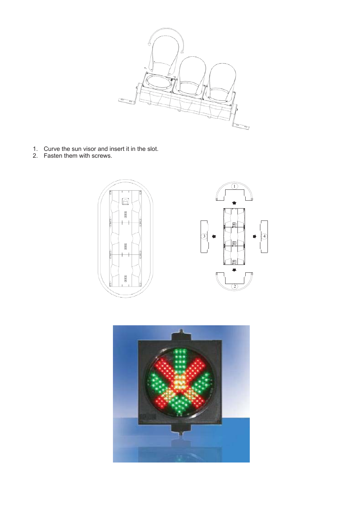

- 1. Curve the sun visor and insert it in the slot.
- 2. Fasten them with screws.



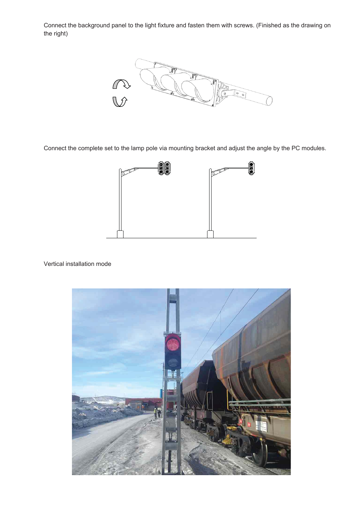Connect the background panel to the light fixture and fasten them with screws. (Finished as the drawing on the right)



Connect the complete set to the lamp pole via mounting bracket and adjust the angle by the PC modules.



#### Vertical installation mode

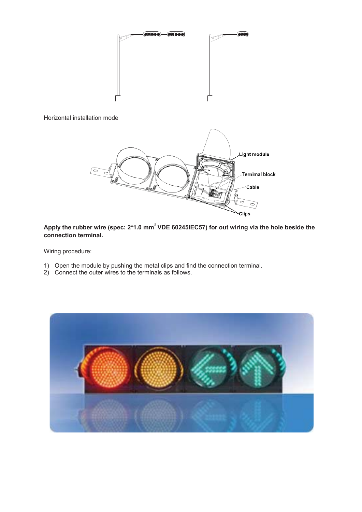

#### Horizontal installation mode



### **Apply the rubber wire (spec: 2\*1.0 mm<sup>2</sup> VDE 60245IEC57) for out wiring via the hole beside the connection terminal.**

Wiring procedure:

- 1) Open the module by pushing the metal clips and find the connection terminal.
- 2) Connect the outer wires to the terminals as follows.

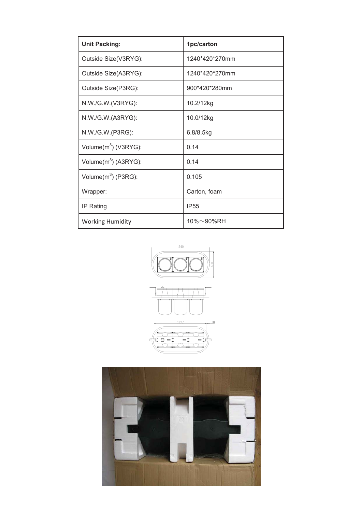| <b>Unit Packing:</b>    | 1pc/carton     |  |  |
|-------------------------|----------------|--|--|
| Outside Size(V3RYG):    | 1240*420*270mm |  |  |
| Outside Size(A3RYG):    | 1240*420*270mm |  |  |
| Outside Size(P3RG):     | 900*420*280mm  |  |  |
| N.W./G.W.(V3RYG):       | 10.2/12kg      |  |  |
| N.W./G.W.(A3RYG):       | 10.0/12kg      |  |  |
| N.W./G.W.(P3RG):        | 6.8/8.5kg      |  |  |
| Volume $(m^3)$ (V3RYG): | 0.14           |  |  |
| Volume $(m^3)$ (A3RYG): | 0.14           |  |  |
| Volume $(m^3)$ (P3RG):  | 0.105          |  |  |
| Wrapper:                | Carton, foam   |  |  |
| IP Rating               | <b>IP55</b>    |  |  |
| <b>Working Humidity</b> | 10%~90%RH      |  |  |